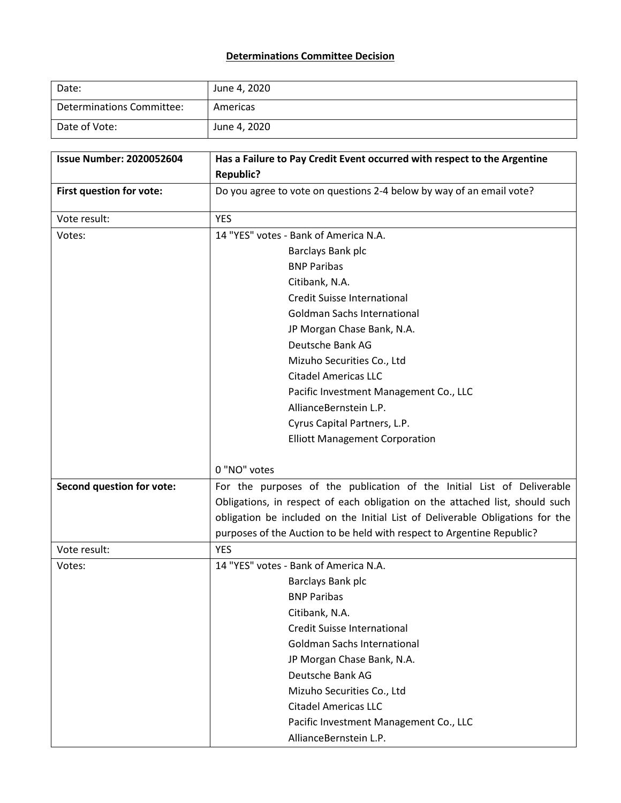## **Determinations Committee Decision**

| Date:                     | June 4, 2020 |
|---------------------------|--------------|
| Determinations Committee: | Americas     |
| Date of Vote:             | June 4, 2020 |

| <b>Issue Number: 2020052604</b>  | Has a Failure to Pay Credit Event occurred with respect to the Argentine      |  |  |  |
|----------------------------------|-------------------------------------------------------------------------------|--|--|--|
|                                  | <b>Republic?</b>                                                              |  |  |  |
| First question for vote:         | Do you agree to vote on questions 2-4 below by way of an email vote?          |  |  |  |
| Vote result:                     | <b>YES</b>                                                                    |  |  |  |
| Votes:                           | 14 "YES" votes - Bank of America N.A.                                         |  |  |  |
|                                  | Barclays Bank plc                                                             |  |  |  |
|                                  | <b>BNP Paribas</b>                                                            |  |  |  |
|                                  | Citibank, N.A.                                                                |  |  |  |
|                                  | Credit Suisse International                                                   |  |  |  |
|                                  | <b>Goldman Sachs International</b>                                            |  |  |  |
|                                  | JP Morgan Chase Bank, N.A.                                                    |  |  |  |
|                                  | Deutsche Bank AG                                                              |  |  |  |
|                                  | Mizuho Securities Co., Ltd                                                    |  |  |  |
|                                  | <b>Citadel Americas LLC</b>                                                   |  |  |  |
|                                  | Pacific Investment Management Co., LLC                                        |  |  |  |
|                                  | AllianceBernstein L.P.                                                        |  |  |  |
|                                  | Cyrus Capital Partners, L.P.                                                  |  |  |  |
|                                  | <b>Elliott Management Corporation</b>                                         |  |  |  |
|                                  |                                                                               |  |  |  |
|                                  | 0 "NO" votes                                                                  |  |  |  |
| <b>Second question for vote:</b> | For the purposes of the publication of the Initial List of Deliverable        |  |  |  |
|                                  | Obligations, in respect of each obligation on the attached list, should such  |  |  |  |
|                                  | obligation be included on the Initial List of Deliverable Obligations for the |  |  |  |
|                                  | purposes of the Auction to be held with respect to Argentine Republic?        |  |  |  |
| Vote result:                     | <b>YES</b>                                                                    |  |  |  |
| Votes:                           | 14 "YES" votes - Bank of America N.A.                                         |  |  |  |
|                                  | Barclays Bank plc                                                             |  |  |  |
|                                  | <b>BNP Paribas</b>                                                            |  |  |  |
|                                  | Citibank, N.A.                                                                |  |  |  |
|                                  | <b>Credit Suisse International</b>                                            |  |  |  |
|                                  | <b>Goldman Sachs International</b>                                            |  |  |  |
|                                  | JP Morgan Chase Bank, N.A.                                                    |  |  |  |
|                                  | Deutsche Bank AG                                                              |  |  |  |
|                                  | Mizuho Securities Co., Ltd                                                    |  |  |  |
|                                  | <b>Citadel Americas LLC</b>                                                   |  |  |  |
|                                  | Pacific Investment Management Co., LLC                                        |  |  |  |
|                                  | AllianceBernstein L.P.                                                        |  |  |  |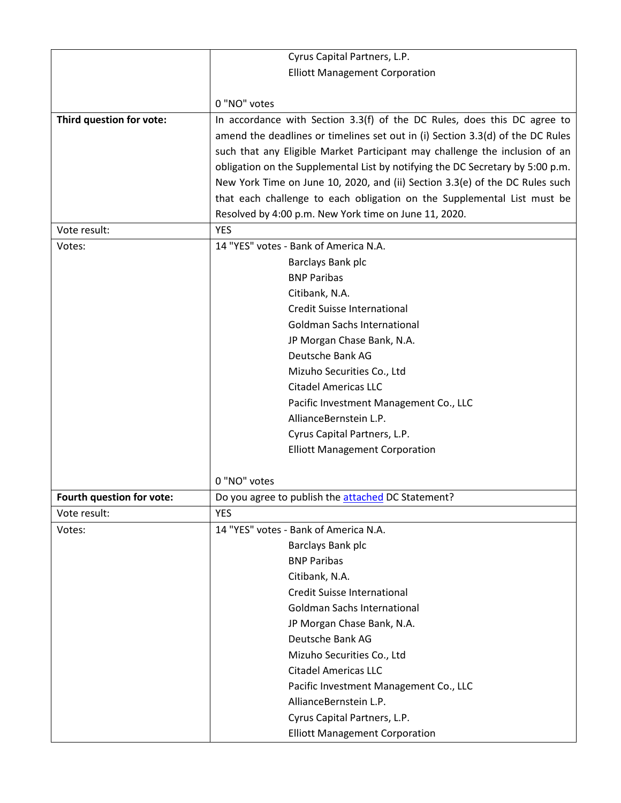|                           | Cyrus Capital Partners, L.P.                                                   |  |  |  |  |
|---------------------------|--------------------------------------------------------------------------------|--|--|--|--|
|                           | <b>Elliott Management Corporation</b>                                          |  |  |  |  |
|                           |                                                                                |  |  |  |  |
|                           | 0 "NO" votes                                                                   |  |  |  |  |
| Third question for vote:  | In accordance with Section 3.3(f) of the DC Rules, does this DC agree to       |  |  |  |  |
|                           | amend the deadlines or timelines set out in (i) Section 3.3(d) of the DC Rules |  |  |  |  |
|                           | such that any Eligible Market Participant may challenge the inclusion of an    |  |  |  |  |
|                           | obligation on the Supplemental List by notifying the DC Secretary by 5:00 p.m. |  |  |  |  |
|                           | New York Time on June 10, 2020, and (ii) Section 3.3(e) of the DC Rules such   |  |  |  |  |
|                           | that each challenge to each obligation on the Supplemental List must be        |  |  |  |  |
|                           | Resolved by 4:00 p.m. New York time on June 11, 2020.                          |  |  |  |  |
| Vote result:              | <b>YES</b>                                                                     |  |  |  |  |
| Votes:                    | 14 "YES" votes - Bank of America N.A.                                          |  |  |  |  |
|                           | Barclays Bank plc                                                              |  |  |  |  |
|                           | <b>BNP Paribas</b>                                                             |  |  |  |  |
|                           | Citibank, N.A.                                                                 |  |  |  |  |
|                           | <b>Credit Suisse International</b>                                             |  |  |  |  |
|                           | <b>Goldman Sachs International</b>                                             |  |  |  |  |
|                           | JP Morgan Chase Bank, N.A.                                                     |  |  |  |  |
|                           | Deutsche Bank AG                                                               |  |  |  |  |
|                           | Mizuho Securities Co., Ltd                                                     |  |  |  |  |
|                           | <b>Citadel Americas LLC</b>                                                    |  |  |  |  |
|                           | Pacific Investment Management Co., LLC                                         |  |  |  |  |
|                           | AllianceBernstein L.P.                                                         |  |  |  |  |
|                           | Cyrus Capital Partners, L.P.                                                   |  |  |  |  |
|                           | <b>Elliott Management Corporation</b>                                          |  |  |  |  |
|                           |                                                                                |  |  |  |  |
|                           | 0 "NO" votes                                                                   |  |  |  |  |
| Fourth question for vote: | Do you agree to publish the attached DC Statement?                             |  |  |  |  |
| Vote result:              | <b>YES</b>                                                                     |  |  |  |  |
| Votes:                    | 14 "YES" votes - Bank of America N.A.                                          |  |  |  |  |
|                           | Barclays Bank plc                                                              |  |  |  |  |
|                           | <b>BNP Paribas</b>                                                             |  |  |  |  |
|                           | Citibank, N.A.                                                                 |  |  |  |  |
|                           | <b>Credit Suisse International</b>                                             |  |  |  |  |
|                           | <b>Goldman Sachs International</b>                                             |  |  |  |  |
|                           | JP Morgan Chase Bank, N.A.                                                     |  |  |  |  |
|                           | Deutsche Bank AG                                                               |  |  |  |  |
|                           | Mizuho Securities Co., Ltd                                                     |  |  |  |  |
|                           | <b>Citadel Americas LLC</b>                                                    |  |  |  |  |
|                           | Pacific Investment Management Co., LLC                                         |  |  |  |  |
|                           | AllianceBernstein L.P.                                                         |  |  |  |  |
|                           | Cyrus Capital Partners, L.P.                                                   |  |  |  |  |
|                           | <b>Elliott Management Corporation</b>                                          |  |  |  |  |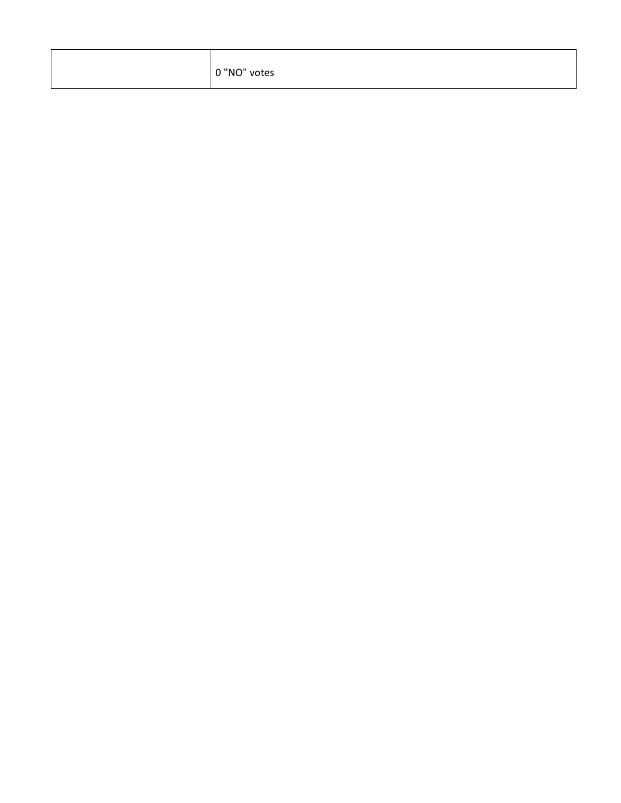| 0 "NO" votes |  |
|--------------|--|
|--------------|--|